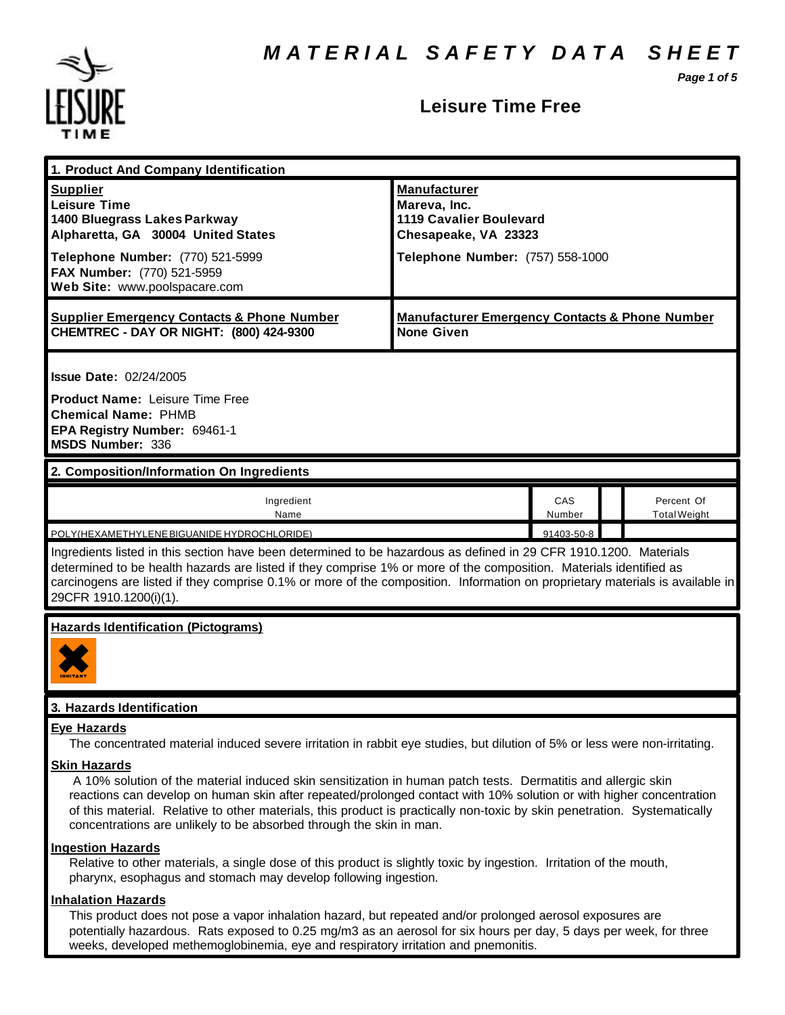*Page 1 of 5*



### **Leisure Time Free**

| 1. Product And Company Identification                                                                                                                                                                                                                                                                                                                                                                                                                           |                                                                                                                                   |               |  |                                   |  |
|-----------------------------------------------------------------------------------------------------------------------------------------------------------------------------------------------------------------------------------------------------------------------------------------------------------------------------------------------------------------------------------------------------------------------------------------------------------------|-----------------------------------------------------------------------------------------------------------------------------------|---------------|--|-----------------------------------|--|
| <b>Supplier</b><br><b>Leisure Time</b><br>1400 Bluegrass Lakes Parkway<br>Alpharetta, GA 30004 United States<br>Telephone Number: (770) 521-5999<br>FAX Number: (770) 521-5959<br>Web Site: www.poolspacare.com                                                                                                                                                                                                                                                 | <b>Manufacturer</b><br>Mareva, Inc.<br><b>1119 Cavalier Boulevard</b><br>Chesapeake, VA 23323<br>Telephone Number: (757) 558-1000 |               |  |                                   |  |
| <b>Supplier Emergency Contacts &amp; Phone Number</b><br>CHEMTREC - DAY OR NIGHT: (800) 424-9300                                                                                                                                                                                                                                                                                                                                                                | <b>Manufacturer Emergency Contacts &amp; Phone Number</b><br><b>None Given</b>                                                    |               |  |                                   |  |
| <b>Issue Date: 02/24/2005</b><br><b>Product Name: Leisure Time Free</b><br><b>Chemical Name: PHMB</b><br>EPA Registry Number: 69461-1<br>MSDS Number: 336                                                                                                                                                                                                                                                                                                       |                                                                                                                                   |               |  |                                   |  |
| 2. Composition/Information On Ingredients                                                                                                                                                                                                                                                                                                                                                                                                                       |                                                                                                                                   |               |  |                                   |  |
| Ingredient<br>Name                                                                                                                                                                                                                                                                                                                                                                                                                                              |                                                                                                                                   | CAS<br>Number |  | Percent Of<br><b>Total Weight</b> |  |
| POLY(HEXAMETHYLENE BIGUANIDE HYDROCHLORIDE)<br>91403-50-8<br>Ingredients listed in this section have been determined to be hazardous as defined in 29 CFR 1910.1200. Materials<br>determined to be health hazards are listed if they comprise 1% or more of the composition. Materials identified as<br>carcinogens are listed if they comprise 0.1% or more of the composition. Information on proprietary materials is available in<br>29CFR 1910.1200(i)(1). |                                                                                                                                   |               |  |                                   |  |
| <b>Hazards Identification (Pictograms)</b>                                                                                                                                                                                                                                                                                                                                                                                                                      |                                                                                                                                   |               |  |                                   |  |
| 3. Hazards Identification                                                                                                                                                                                                                                                                                                                                                                                                                                       |                                                                                                                                   |               |  |                                   |  |
| <u>Eye Hazards</u><br>The concentrated material induced severe irritation in rabbit eye studies, but dilution of 5% or less were non-irritating.                                                                                                                                                                                                                                                                                                                |                                                                                                                                   |               |  |                                   |  |
| <b>Skin Hazards</b><br>A 10% solution of the material induced skin sensitization in human patch tests. Dermatitis and allergic skin<br>reactions can develop on human skin after repeated/prolonged contact with 10% solution or with higher concentration<br>of this material. Relative to other materials, this product is practically non-toxic by skin penetration. Systematically<br>concentrations are unlikely to be absorbed through the skin in man.   |                                                                                                                                   |               |  |                                   |  |
| <b>Ingestion Hazards</b><br>Relative to other materials, a single dose of this product is slightly toxic by ingestion. Irritation of the mouth,<br>pharynx, esophagus and stomach may develop following ingestion.                                                                                                                                                                                                                                              |                                                                                                                                   |               |  |                                   |  |

### **Inhalation Hazards**

This product does not pose a vapor inhalation hazard, but repeated and/or prolonged aerosol exposures are potentially hazardous. Rats exposed to 0.25 mg/m3 as an aerosol for six hours per day, 5 days per week, for three weeks, developed methemoglobinemia, eye and respiratory irritation and pnemonitis.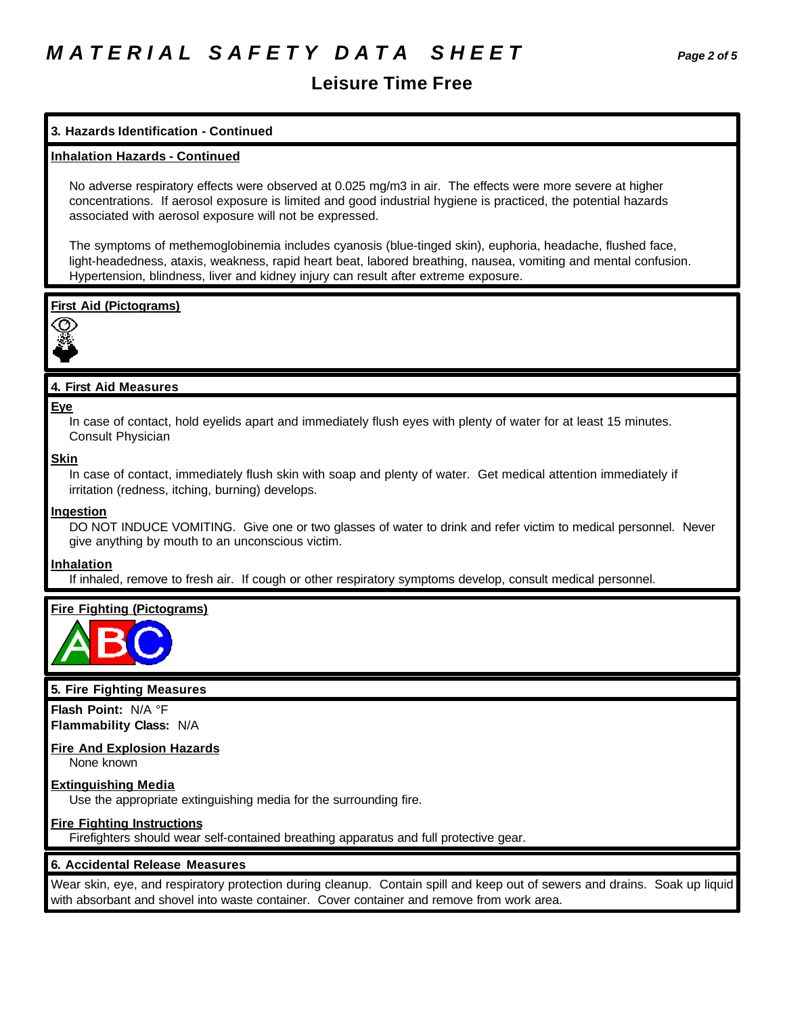## **Leisure Time Free**

### **3. Hazards Identification - Continued**

### **Inhalation Hazards - Continued**

No adverse respiratory effects were observed at 0.025 mg/m3 in air. The effects were more severe at higher concentrations. If aerosol exposure is limited and good industrial hygiene is practiced, the potential hazards associated with aerosol exposure will not be expressed.

The symptoms of methemoglobinemia includes cyanosis (blue-tinged skin), euphoria, headache, flushed face, light-headedness, ataxis, weakness, rapid heart beat, labored breathing, nausea, vomiting and mental confusion. Hypertension, blindness, liver and kidney injury can result after extreme exposure.

### **First Aid (Pictograms)**



### **4. First Aid Measures**

#### **Eye**

In case of contact, hold eyelids apart and immediately flush eyes with plenty of water for at least 15 minutes. Consult Physician

#### **Skin**

In case of contact, immediately flush skin with soap and plenty of water. Get medical attention immediately if irritation (redness, itching, burning) develops.

#### **Ingestion**

DO NOT INDUCE VOMITING. Give one or two glasses of water to drink and refer victim to medical personnel. Never give anything by mouth to an unconscious victim.

### **Inhalation**

If inhaled, remove to fresh air. If cough or other respiratory symptoms develop, consult medical personnel.

### **Fire Fighting (Pictograms)**



### **5. Fire Fighting Measures**

**Flash Point:** N/A °F **Flammability Class:** N/A

### **Fire And Explosion Hazards**

None known

### **Extinguishing Media**

Use the appropriate extinguishing media for the surrounding fire.

### **Fire Fighting Instructions**

Firefighters should wear self-contained breathing apparatus and full protective gear.

### **6. Accidental Release Measures**

Wear skin, eye, and respiratory protection during cleanup. Contain spill and keep out of sewers and drains. Soak up liquid with absorbant and shovel into waste container. Cover container and remove from work area.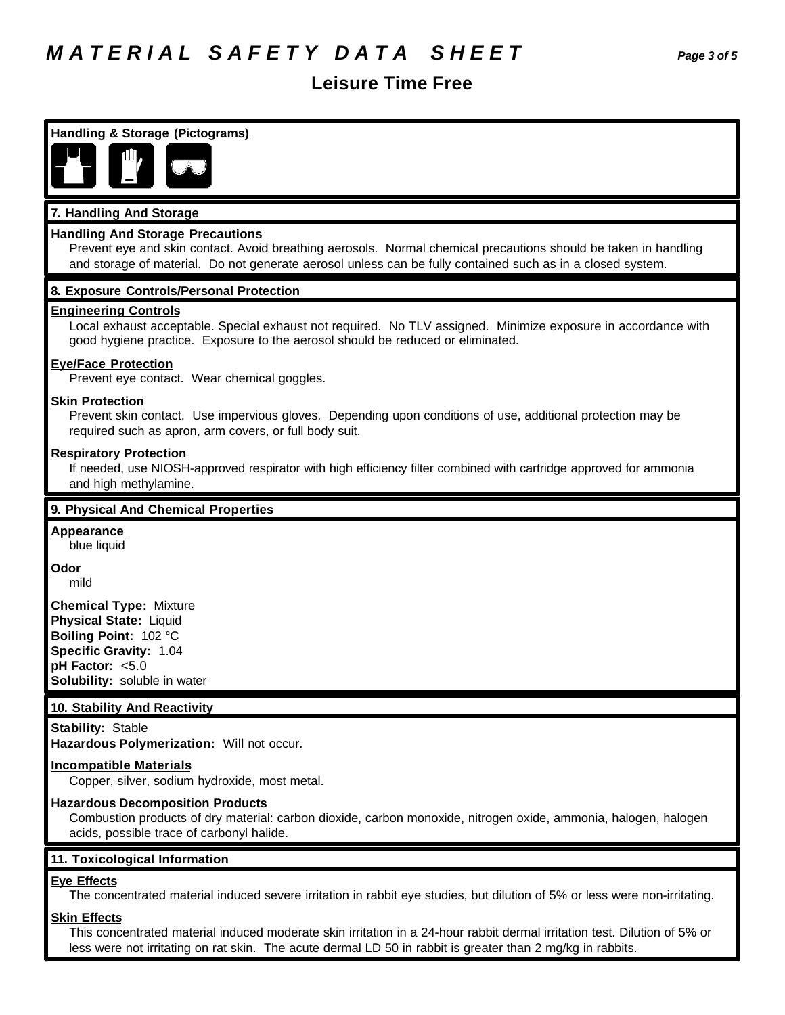# *M A T E R I A L S A F E T Y D A T A S H E E T Page 3 of 5*

### **Leisure Time Free**

**Handling & Storage (Pictograms) 7. Handling And Storage Handling And Storage Precautions** Prevent eye and skin contact. Avoid breathing aerosols. Normal chemical precautions should be taken in handling and storage of material. Do not generate aerosol unless can be fully contained such as in a closed system. **8. Exposure Controls/Personal Protection Engineering Controls** Local exhaust acceptable. Special exhaust not required. No TLV assigned. Minimize exposure in accordance with good hygiene practice. Exposure to the aerosol should be reduced or eliminated. **Eye/Face Protection** Prevent eye contact. Wear chemical goggles. **Skin Protection** Prevent skin contact. Use impervious gloves. Depending upon conditions of use, additional protection may be required such as apron, arm covers, or full body suit. **Respiratory Protection** If needed, use NIOSH-approved respirator with high efficiency filter combined with cartridge approved for ammonia and high methylamine. **9. Physical And Chemical Properties Appearance** blue liquid **Odor** mild **Chemical Type:** Mixture **Physical State:** Liquid **Boiling Point:** 102 °C **Specific Gravity:** 1.04 **pH Factor:** <5.0 **Solubility:** soluble in water **10. Stability And Reactivity Stability:** Stable **Hazardous Polymerization:** Will not occur. **Incompatible Materials** Copper, silver, sodium hydroxide, most metal. **Hazardous Decomposition Products** Combustion products of dry material: carbon dioxide, carbon monoxide, nitrogen oxide, ammonia, halogen, halogen acids, possible trace of carbonyl halide. **11. Toxicological Information Eye Effects** The concentrated material induced severe irritation in rabbit eye studies, but dilution of 5% or less were non-irritating.

### **Skin Effects**

This concentrated material induced moderate skin irritation in a 24-hour rabbit dermal irritation test. Dilution of 5% or less were not irritating on rat skin. The acute dermal LD 50 in rabbit is greater than 2 mg/kg in rabbits.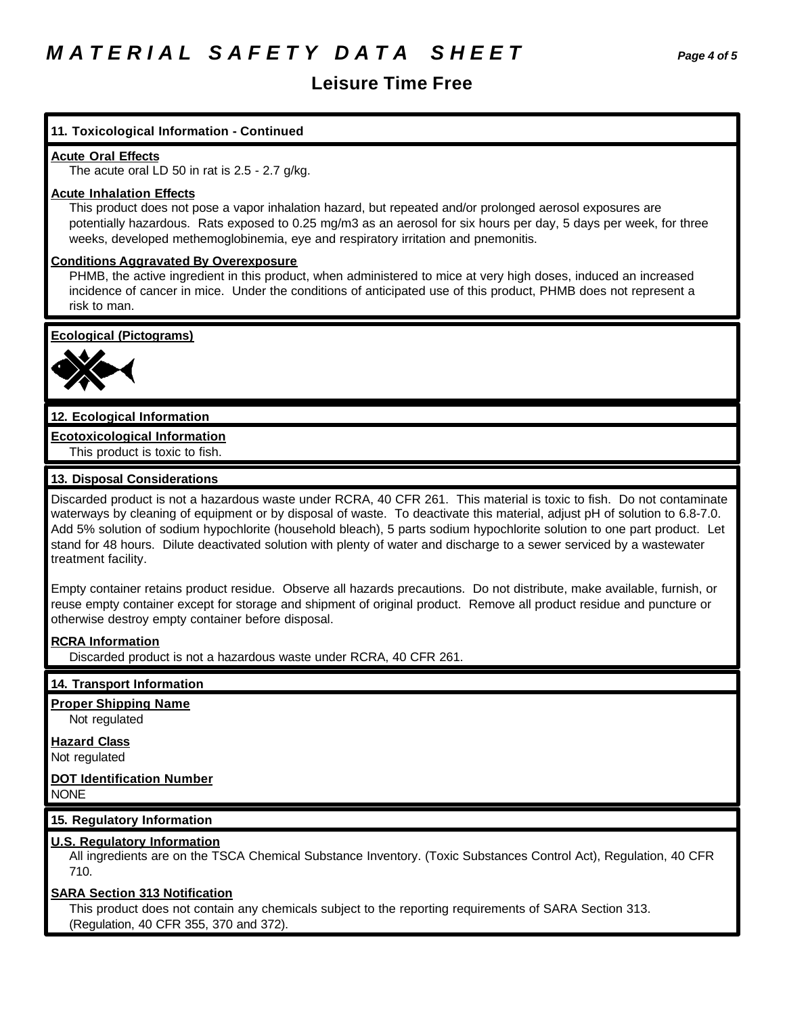## **Leisure Time Free**

### **11. Toxicological Information - Continued**

### **Acute Oral Effects**

The acute oral LD 50 in rat is 2.5 - 2.7 g/kg.

### **Acute Inhalation Effects**

This product does not pose a vapor inhalation hazard, but repeated and/or prolonged aerosol exposures are potentially hazardous. Rats exposed to 0.25 mg/m3 as an aerosol for six hours per day, 5 days per week, for three weeks, developed methemoglobinemia, eye and respiratory irritation and pnemonitis.

### **Conditions Aggravated By Overexposure**

PHMB, the active ingredient in this product, when administered to mice at very high doses, induced an increased incidence of cancer in mice. Under the conditions of anticipated use of this product, PHMB does not represent a risk to man.

**Ecological (Pictograms)**



### **12. Ecological Information**

**Ecotoxicological Information** This product is toxic to fish.

### **13. Disposal Considerations**

Discarded product is not a hazardous waste under RCRA, 40 CFR 261. This material is toxic to fish. Do not contaminate waterways by cleaning of equipment or by disposal of waste. To deactivate this material, adjust pH of solution to 6.8-7.0. Add 5% solution of sodium hypochlorite (household bleach), 5 parts sodium hypochlorite solution to one part product. Let stand for 48 hours. Dilute deactivated solution with plenty of water and discharge to a sewer serviced by a wastewater treatment facility.

Empty container retains product residue. Observe all hazards precautions. Do not distribute, make available, furnish, or reuse empty container except for storage and shipment of original product. Remove all product residue and puncture or otherwise destroy empty container before disposal.

### **RCRA Information**

Discarded product is not a hazardous waste under RCRA, 40 CFR 261.

### **14. Transport Information**

### **Proper Shipping Name**

Not regulated

### **Hazard Class**

Not regulated

### **DOT Identification Number** NONE

### **15. Regulatory Information**

### **U.S. Regulatory Information**

All ingredients are on the TSCA Chemical Substance Inventory. (Toxic Substances Control Act), Regulation, 40 CFR 710.

### **SARA Section 313 Notification**

This product does not contain any chemicals subject to the reporting requirements of SARA Section 313. (Regulation, 40 CFR 355, 370 and 372).